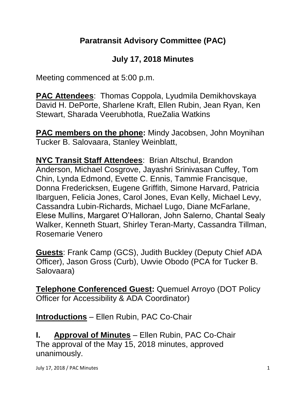# **Paratransit Advisory Committee (PAC)**

# **July 17, 2018 Minutes**

Meeting commenced at 5:00 p.m.

**PAC Attendees**: Thomas Coppola, Lyudmila Demikhovskaya David H. DePorte, Sharlene Kraft, Ellen Rubin, Jean Ryan, Ken Stewart, Sharada Veerubhotla, RueZalia Watkins

**PAC members on the phone:** Mindy Jacobsen, John Moynihan Tucker B. Salovaara, Stanley Weinblatt,

**NYC Transit Staff Attendees**: Brian Altschul, Brandon Anderson, Michael Cosgrove, Jayashri Srinivasan Cuffey, Tom Chin, Lynda Edmond, Evette C. Ennis, Tammie Francisque, Donna Fredericksen, Eugene Griffith, Simone Harvard, Patricia Ibarguen, Felicia Jones, Carol Jones, Evan Kelly, Michael Levy, Cassandra Lubin-Richards, Michael Lugo, Diane McFarlane, Elese Mullins, Margaret O'Halloran, John Salerno, Chantal Sealy Walker, Kenneth Stuart, Shirley Teran-Marty, Cassandra Tillman, Rosemarie Venero

**Guests**: Frank Camp (GCS), Judith Buckley (Deputy Chief ADA Officer), Jason Gross (Curb), Uwvie Obodo (PCA for Tucker B. Salovaara)

**Telephone Conferenced Guest:** Quemuel Arroyo (DOT Policy Officer for Accessibility & ADA Coordinator)

**Introductions** – Ellen Rubin, PAC Co-Chair

**I. Approval of Minutes** – Ellen Rubin, PAC Co-Chair The approval of the May 15, 2018 minutes, approved unanimously.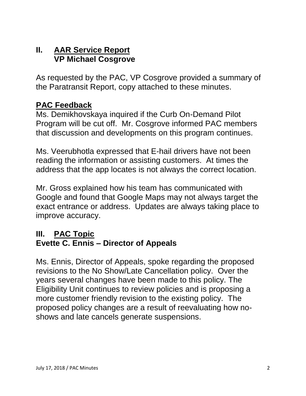### **II. AAR Service Report VP Michael Cosgrove**

As requested by the PAC, VP Cosgrove provided a summary of the Paratransit Report, copy attached to these minutes.

#### **PAC Feedback**

Ms. Demikhovskaya inquired if the Curb On-Demand Pilot Program will be cut off. Mr. Cosgrove informed PAC members that discussion and developments on this program continues.

Ms. Veerubhotla expressed that E-hail drivers have not been reading the information or assisting customers. At times the address that the app locates is not always the correct location.

Mr. Gross explained how his team has communicated with Google and found that Google Maps may not always target the exact entrance or address. Updates are always taking place to improve accuracy.

#### **III. PAC Topic Evette C. Ennis – Director of Appeals**

Ms. Ennis, Director of Appeals, spoke regarding the proposed revisions to the No Show/Late Cancellation policy. Over the years several changes have been made to this policy. The Eligibility Unit continues to review policies and is proposing a more customer friendly revision to the existing policy. The proposed policy changes are a result of reevaluating how noshows and late cancels generate suspensions.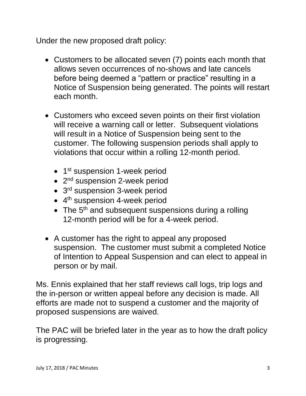Under the new proposed draft policy:

- Customers to be allocated seven (7) points each month that allows seven occurrences of no-shows and late cancels before being deemed a "pattern or practice" resulting in a Notice of Suspension being generated. The points will restart each month.
- Customers who exceed seven points on their first violation will receive a warning call or letter. Subsequent violations will result in a Notice of Suspension being sent to the customer. The following suspension periods shall apply to violations that occur within a rolling 12-month period.
	- 1<sup>st</sup> suspension 1-week period
	- 2<sup>nd</sup> suspension 2-week period
	- 3<sup>rd</sup> suspension 3-week period
	- 4<sup>th</sup> suspension 4-week period
	- The  $5<sup>th</sup>$  and subsequent suspensions during a rolling 12-month period will be for a 4-week period.
- A customer has the right to appeal any proposed suspension. The customer must submit a completed Notice of Intention to Appeal Suspension and can elect to appeal in person or by mail.

Ms. Ennis explained that her staff reviews call logs, trip logs and the in-person or written appeal before any decision is made. All efforts are made not to suspend a customer and the majority of proposed suspensions are waived.

The PAC will be briefed later in the year as to how the draft policy is progressing.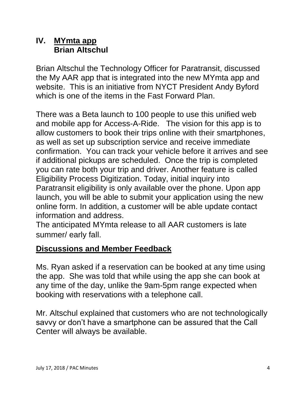## **IV. MYmta app Brian Altschul**

Brian Altschul the Technology Officer for Paratransit, discussed the My AAR app that is integrated into the new MYmta app and website. This is an initiative from NYCT President Andy Byford which is one of the items in the Fast Forward Plan.

There was a Beta launch to 100 people to use this unified web and mobile app for Access-A-Ride. The vision for this app is to allow customers to book their trips online with their smartphones, as well as set up subscription service and receive immediate confirmation. You can track your vehicle before it arrives and see if additional pickups are scheduled. Once the trip is completed you can rate both your trip and driver. Another feature is called Eligibility Process Digitization. Today, initial inquiry into Paratransit eligibility is only available over the phone. Upon app launch, you will be able to submit your application using the new online form. In addition, a customer will be able update contact information and address.

The anticipated MYmta release to all AAR customers is late summer/ early fall.

# **Discussions and Member Feedback**

Ms. Ryan asked if a reservation can be booked at any time using the app. She was told that while using the app she can book at any time of the day, unlike the 9am-5pm range expected when booking with reservations with a telephone call.

Mr. Altschul explained that customers who are not technologically savvy or don't have a smartphone can be assured that the Call Center will always be available.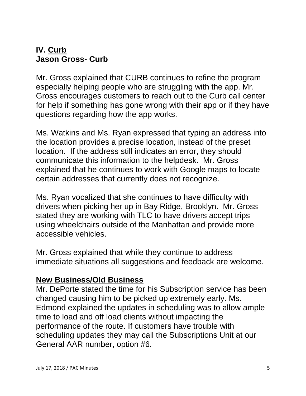### **IV. Curb Jason Gross- Curb**

Mr. Gross explained that CURB continues to refine the program especially helping people who are struggling with the app. Mr. Gross encourages customers to reach out to the Curb call center for help if something has gone wrong with their app or if they have questions regarding how the app works.

Ms. Watkins and Ms. Ryan expressed that typing an address into the location provides a precise location, instead of the preset location. If the address still indicates an error, they should communicate this information to the helpdesk. Mr. Gross explained that he continues to work with Google maps to locate certain addresses that currently does not recognize.

Ms. Ryan vocalized that she continues to have difficulty with drivers when picking her up in Bay Ridge, Brooklyn. Mr. Gross stated they are working with TLC to have drivers accept trips using wheelchairs outside of the Manhattan and provide more accessible vehicles.

Mr. Gross explained that while they continue to address immediate situations all suggestions and feedback are welcome.

### **New Business/Old Business**

Mr. DePorte stated the time for his Subscription service has been changed causing him to be picked up extremely early. Ms. Edmond explained the updates in scheduling was to allow ample time to load and off load clients without impacting the performance of the route. If customers have trouble with scheduling updates they may call the Subscriptions Unit at our General AAR number, option #6.